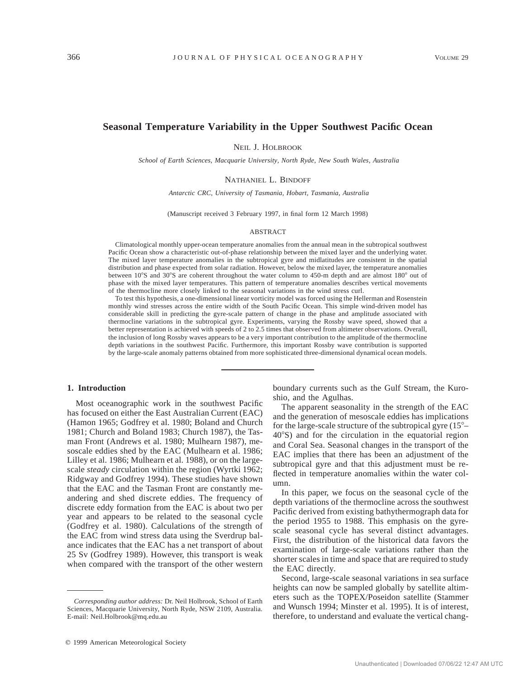# **Seasonal Temperature Variability in the Upper Southwest Pacific Ocean**

NEIL J. HOLBROOK

*School of Earth Sciences, Macquarie University, North Ryde, New South Wales, Australia*

NATHANIEL L. BINDOFF

*Antarctic CRC, University of Tasmania, Hobart, Tasmania, Australia*

(Manuscript received 3 February 1997, in final form 12 March 1998)

### ABSTRACT

Climatological monthly upper-ocean temperature anomalies from the annual mean in the subtropical southwest Pacific Ocean show a characteristic out-of-phase relationship between the mixed layer and the underlying water. The mixed layer temperature anomalies in the subtropical gyre and midlatitudes are consistent in the spatial distribution and phase expected from solar radiation. However, below the mixed layer, the temperature anomalies between 10°S and 30°S are coherent throughout the water column to 450-m depth and are almost 180° out of phase with the mixed layer temperatures. This pattern of temperature anomalies describes vertical movements of the thermocline more closely linked to the seasonal variations in the wind stress curl.

To test this hypothesis, a one-dimensional linear vorticity model was forced using the Hellerman and Rosenstein monthly wind stresses across the entire width of the South Pacific Ocean. This simple wind-driven model has considerable skill in predicting the gyre-scale pattern of change in the phase and amplitude associated with thermocline variations in the subtropical gyre. Experiments, varying the Rossby wave speed, showed that a better representation is achieved with speeds of 2 to 2.5 times that observed from altimeter observations. Overall, the inclusion of long Rossby waves appears to be a very important contribution to the amplitude of the thermocline depth variations in the southwest Pacific. Furthermore, this important Rossby wave contribution is supported by the large-scale anomaly patterns obtained from more sophisticated three-dimensional dynamical ocean models.

# **1. Introduction**

Most oceanographic work in the southwest Pacific has focused on either the East Australian Current (EAC) (Hamon 1965; Godfrey et al. 1980; Boland and Church 1981; Church and Boland 1983; Church 1987), the Tasman Front (Andrews et al. 1980; Mulhearn 1987), mesoscale eddies shed by the EAC (Mulhearn et al. 1986; Lilley et al. 1986; Mulhearn et al. 1988), or on the largescale *steady* circulation within the region (Wyrtki 1962; Ridgway and Godfrey 1994). These studies have shown that the EAC and the Tasman Front are constantly meandering and shed discrete eddies. The frequency of discrete eddy formation from the EAC is about two per year and appears to be related to the seasonal cycle (Godfrey et al. 1980). Calculations of the strength of the EAC from wind stress data using the Sverdrup balance indicates that the EAC has a net transport of about 25 Sv (Godfrey 1989). However, this transport is weak when compared with the transport of the other western

boundary currents such as the Gulf Stream, the Kuroshio, and the Agulhas.

The apparent seasonality in the strength of the EAC and the generation of mesoscale eddies has implications for the large-scale structure of the subtropical gyre  $(15^{\circ}$  $40^{\circ}$ S) and for the circulation in the equatorial region and Coral Sea. Seasonal changes in the transport of the EAC implies that there has been an adjustment of the subtropical gyre and that this adjustment must be reflected in temperature anomalies within the water column.

In this paper, we focus on the seasonal cycle of the depth variations of the thermocline across the southwest Pacific derived from existing bathythermograph data for the period 1955 to 1988. This emphasis on the gyrescale seasonal cycle has several distinct advantages. First, the distribution of the historical data favors the examination of large-scale variations rather than the shorter scales in time and space that are required to study the EAC directly.

Second, large-scale seasonal variations in sea surface heights can now be sampled globally by satellite altimeters such as the TOPEX/Poseidon satellite (Stammer and Wunsch 1994; Minster et al. 1995). It is of interest, therefore, to understand and evaluate the vertical chang-

*Corresponding author address:* Dr. Neil Holbrook, School of Earth Sciences, Macquarie University, North Ryde, NSW 2109, Australia. E-mail: Neil.Holbrook@mq.edu.au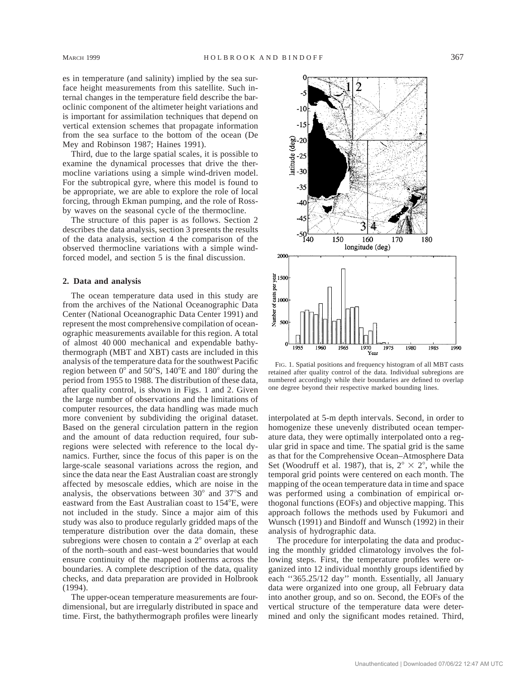es in temperature (and salinity) implied by the sea surface height measurements from this satellite. Such internal changes in the temperature field describe the baroclinic component of the altimeter height variations and is important for assimilation techniques that depend on vertical extension schemes that propagate information from the sea surface to the bottom of the ocean (De Mey and Robinson 1987; Haines 1991).

Third, due to the large spatial scales, it is possible to examine the dynamical processes that drive the thermocline variations using a simple wind-driven model. For the subtropical gyre, where this model is found to be appropriate, we are able to explore the role of local forcing, through Ekman pumping, and the role of Rossby waves on the seasonal cycle of the thermocline.

The structure of this paper is as follows. Section 2 describes the data analysis, section 3 presents the results of the data analysis, section 4 the comparison of the observed thermocline variations with a simple windforced model, and section 5 is the final discussion.

## **2. Data and analysis**

The ocean temperature data used in this study are from the archives of the National Oceanographic Data Center (National Oceanographic Data Center 1991) and represent the most comprehensive compilation of oceanographic measurements available for this region. A total of almost 40 000 mechanical and expendable bathythermograph (MBT and XBT) casts are included in this analysis of the temperature data for the southwest Pacific region between  $0^{\circ}$  and  $50^{\circ}$ S,  $140^{\circ}$ E and  $180^{\circ}$  during the period from 1955 to 1988. The distribution of these data, after quality control, is shown in Figs. 1 and 2. Given the large number of observations and the limitations of computer resources, the data handling was made much more convenient by subdividing the original dataset. Based on the general circulation pattern in the region and the amount of data reduction required, four subregions were selected with reference to the local dynamics. Further, since the focus of this paper is on the large-scale seasonal variations across the region, and since the data near the East Australian coast are strongly affected by mesoscale eddies, which are noise in the analysis, the observations between  $30^{\circ}$  and  $37^{\circ}$ S and eastward from the East Australian coast to  $154^{\circ}E$ , were not included in the study. Since a major aim of this study was also to produce regularly gridded maps of the temperature distribution over the data domain, these subregions were chosen to contain a  $2^{\circ}$  overlap at each of the north–south and east–west boundaries that would ensure continuity of the mapped isotherms across the boundaries. A complete description of the data, quality checks, and data preparation are provided in Holbrook (1994).

The upper-ocean temperature measurements are fourdimensional, but are irregularly distributed in space and time. First, the bathythermograph profiles were linearly



FIG. 1. Spatial positions and frequency histogram of all MBT casts retained after quality control of the data. Individual subregions are numbered accordingly while their boundaries are defined to overlap one degree beyond their respective marked bounding lines.

interpolated at 5-m depth intervals. Second, in order to homogenize these unevenly distributed ocean temperature data, they were optimally interpolated onto a regular grid in space and time. The spatial grid is the same as that for the Comprehensive Ocean–Atmosphere Data Set (Woodruff et al. 1987), that is,  $2^{\circ} \times 2^{\circ}$ , while the temporal grid points were centered on each month. The mapping of the ocean temperature data in time and space was performed using a combination of empirical orthogonal functions (EOFs) and objective mapping. This approach follows the methods used by Fukumori and Wunsch (1991) and Bindoff and Wunsch (1992) in their analysis of hydrographic data.

The procedure for interpolating the data and producing the monthly gridded climatology involves the following steps. First, the temperature profiles were organized into 12 individual monthly groups identified by each ''365.25/12 day'' month. Essentially, all January data were organized into one group, all February data into another group, and so on. Second, the EOFs of the vertical structure of the temperature data were determined and only the significant modes retained. Third,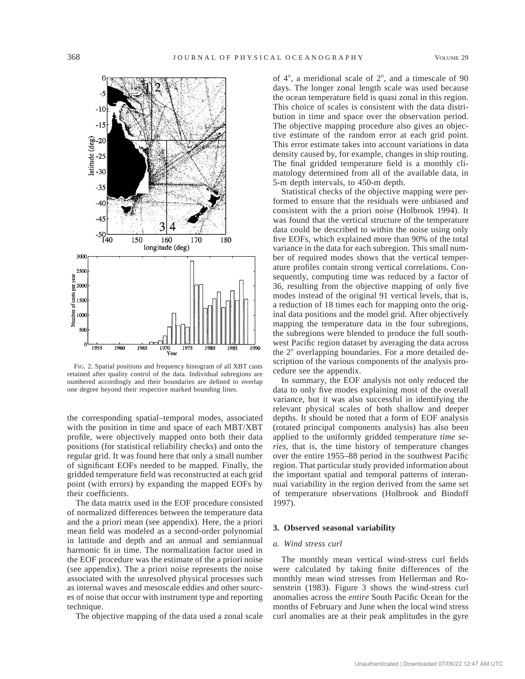

FIG. 2. Spatial positions and frequency histogram of all XBT casts retained after quality control of the data. Individual subregions are numbered accordingly and their boundaries are defined to overlap one degree beyond their respective marked bounding lines.

the corresponding spatial–temporal modes, associated with the position in time and space of each MBT/XBT profile, were objectively mapped onto both their data positions (for statistical reliability checks) and onto the regular grid. It was found here that only a small number of significant EOFs needed to be mapped. Finally, the gridded temperature field was reconstructed at each grid point (with errors) by expanding the mapped EOFs by their coefficients.

The data matrix used in the EOF procedure consisted of normalized differences between the temperature data and the a priori mean (see appendix). Here, the a priori mean field was modeled as a second-order polynomial in latitude and depth and an annual and semiannual harmonic fit in time. The normalization factor used in the EOF procedure was the estimate of the a priori noise (see appendix). The a priori noise represents the noise associated with the unresolved physical processes such as internal waves and mesoscale eddies and other sources of noise that occur with instrument type and reporting technique.

The objective mapping of the data used a zonal scale

of  $4^\circ$ , a meridional scale of  $2^\circ$ , and a timescale of 90 days. The longer zonal length scale was used because the ocean temperature field is quasi zonal in this region. This choice of scales is consistent with the data distribution in time and space over the observation period. The objective mapping procedure also gives an objective estimate of the random error at each grid point. This error estimate takes into account variations in data density caused by, for example, changes in ship routing. The final gridded temperature field is a monthly climatology determined from all of the available data, in 5-m depth intervals, to 450-m depth.

Statistical checks of the objective mapping were performed to ensure that the residuals were unbiased and consistent with the a priori noise (Holbrook 1994). It was found that the vertical structure of the temperature data could be described to within the noise using only five EOFs, which explained more than 90% of the total variance in the data for each subregion. This small number of required modes shows that the vertical temperature profiles contain strong vertical correlations. Consequently, computing time was reduced by a factor of 36, resulting from the objective mapping of only five modes instead of the original 91 vertical levels, that is, a reduction of 18 times each for mapping onto the original data positions and the model grid. After objectively mapping the temperature data in the four subregions, the subregions were blended to produce the full southwest Pacific region dataset by averaging the data across the  $2^{\circ}$  overlapping boundaries. For a more detailed description of the various components of the analysis procedure see the appendix.

In summary, the EOF analysis not only reduced the data to only five modes explaining most of the overall variance, but it was also successful in identifying the relevant physical scales of both shallow and deeper depths. It should be noted that a form of EOF analysis (rotated principal components analysis) has also been applied to the uniformly gridded temperature *time series,* that is, the time history of temperature changes over the entire 1955–88 period in the southwest Pacific region. That particular study provided information about the important spatial and temporal patterns of interannual variability in the region derived from the same set of temperature observations (Holbrook and Bindoff 1997).

#### **3. Observed seasonal variability**

## *a. Wind stress curl*

The monthly mean vertical wind-stress curl fields were calculated by taking finite differences of the monthly mean wind stresses from Hellerman and Rosenstein (1983). Figure 3 shows the wind-stress curl anomalies across the *entire* South Pacific Ocean for the months of February and June when the local wind stress curl anomalies are at their peak amplitudes in the gyre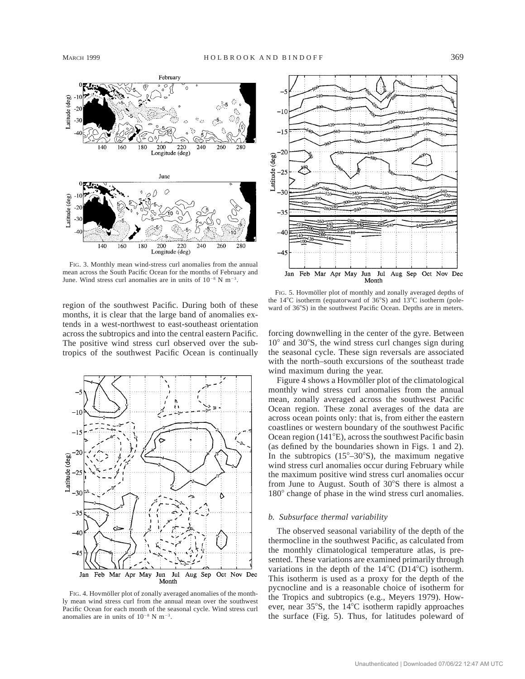

FIG. 3. Monthly mean wind-stress curl anomalies from the annual mean across the South Pacific Ocean for the months of February and June. Wind stress curl anomalies are in units of  $10^{-8}$  N m<sup>-3</sup>.

region of the southwest Pacific. During both of these months, it is clear that the large band of anomalies extends in a west-northwest to east-southeast orientation across the subtropics and into the central eastern Pacific. The positive wind stress curl observed over the subtropics of the southwest Pacific Ocean is continually



FIG. 4. Hovmöller plot of zonally averaged anomalies of the monthly mean wind stress curl from the annual mean over the southwest Pacific Ocean for each month of the seasonal cycle. Wind stress curl anomalies are in units of  $10^{-8}$  N m<sup>-3</sup>.



FIG. 5. Hovmöller plot of monthly and zonally averaged depths of the  $14^{\circ}$ C isotherm (equatorward of  $36^{\circ}$ S) and  $13^{\circ}$ C isotherm (poleward of 36°S) in the southwest Pacific Ocean. Depths are in meters.

forcing downwelling in the center of the gyre. Between  $10^{\circ}$  and  $30^{\circ}$ S, the wind stress curl changes sign during the seasonal cycle. These sign reversals are associated with the north–south excursions of the southeast trade wind maximum during the year.

Figure 4 shows a Hovmöller plot of the climatological monthly wind stress curl anomalies from the annual mean, zonally averaged across the southwest Pacific Ocean region. These zonal averages of the data are across ocean points only: that is, from either the eastern coastlines or western boundary of the southwest Pacific Ocean region (141°E), across the southwest Pacific basin (as defined by the boundaries shown in Figs. 1 and 2). In the subtropics  $(15^{\circ}-30^{\circ}S)$ , the maximum negative wind stress curl anomalies occur during February while the maximum positive wind stress curl anomalies occur from June to August. South of  $30^{\circ}$ S there is almost a 180° change of phase in the wind stress curl anomalies.

### *b. Subsurface thermal variability*

The observed seasonal variability of the depth of the thermocline in the southwest Pacific, as calculated from the monthly climatological temperature atlas, is presented. These variations are examined primarily through variations in the depth of the  $14^{\circ}$ C (D14 $^{\circ}$ C) isotherm. This isotherm is used as a proxy for the depth of the pycnocline and is a reasonable choice of isotherm for the Tropics and subtropics (e.g., Meyers 1979). However, near  $35^{\circ}$ S, the  $14^{\circ}$ C isotherm rapidly approaches the surface (Fig. 5). Thus, for latitudes poleward of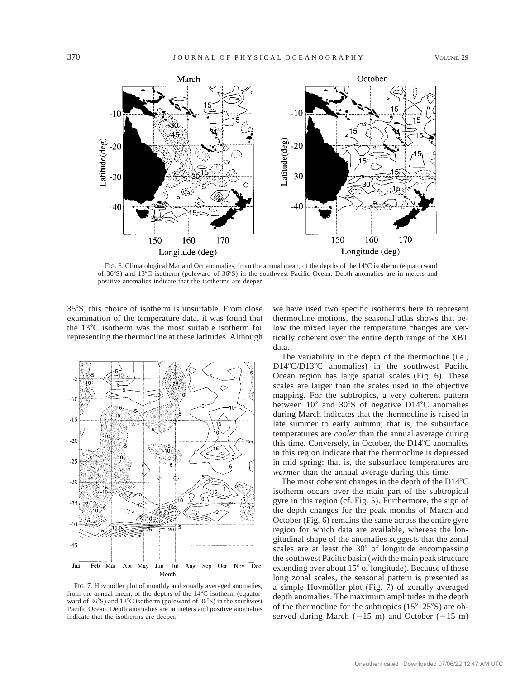

FIG. 6. Climatological Mar and Oct anomalies, from the annual mean, of the depths of the 14°C isotherm (equatorward of 36°S) and 13°C isotherm (poleward of 36°S) in the southwest Pacific Ocean. Depth anomalies are in meters and positive anomalies indicate that the isotherms are deeper.

358S, this choice of isotherm is unsuitable. From close examination of the temperature data, it was found that the  $13^{\circ}$ C isotherm was the most suitable isotherm for representing the thermocline at these latitudes. Although



FIG. 7. Hovmöller plot of monthly and zonally averaged anomalies, from the annual mean, of the depths of the  $14^{\circ}$ C isotherm (equatorward of  $36^{\circ}$ S) and  $13^{\circ}$ C isotherm (poleward of  $36^{\circ}$ S) in the southwest Pacific Ocean. Depth anomalies are in meters and positive anomalies indicate that the isotherms are deeper.

we have used two specific isotherms here to represent thermocline motions, the seasonal atlas shows that below the mixed layer the temperature changes are vertically coherent over the entire depth range of the XBT data.

The variability in the depth of the thermocline (i.e., D14°C/D13°C anomalies) in the southwest Pacific Ocean region has large spatial scales (Fig. 6). These scales are larger than the scales used in the objective mapping. For the subtropics, a very coherent pattern between  $10^{\circ}$  and  $30^{\circ}$ S of negative D14 $^{\circ}$ C anomalies during March indicates that the thermocline is raised in late summer to early autumn; that is, the subsurface temperatures are *cooler* than the annual average during this time. Conversely, in October, the  $D14^{\circ}C$  anomalies in this region indicate that the thermocline is depressed in mid spring; that is, the subsurface temperatures are *warmer* than the annual average during this time.

The most coherent changes in the depth of the  $D14^{\circ}C$ isotherm occurs over the main part of the subtropical gyre in this region (cf. Fig. 5). Furthermore, the sign of the depth changes for the peak months of March and October (Fig. 6) remains the same across the entire gyre region for which data are available, whereas the longitudinal shape of the anomalies suggests that the zonal scales are at least the  $30^{\circ}$  of longitude encompassing the southwest Pacific basin (with the main peak structure extending over about  $15^{\circ}$  of longitude). Because of these long zonal scales, the seasonal pattern is presented as a simple Hovmöller plot (Fig. 7) of zonally averaged depth anomalies. The maximum amplitudes in the depth of the thermocline for the subtropics  $(15^{\circ}-25^{\circ}S)$  are observed during March  $(-15 \text{ m})$  and October  $(+15 \text{ m})$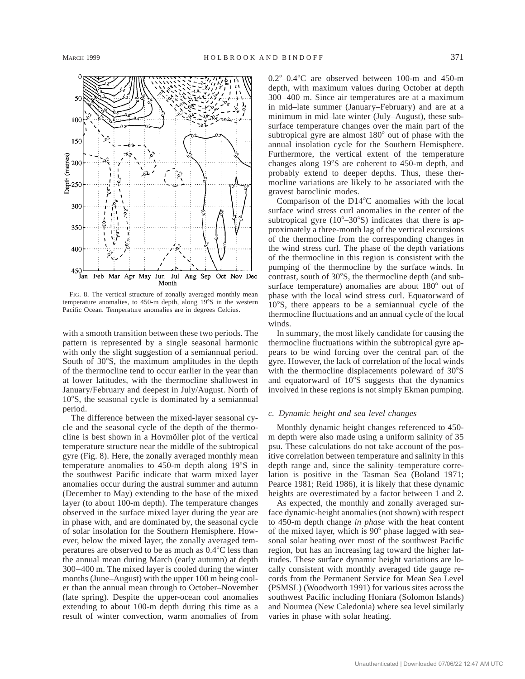

FIG. 8. The vertical structure of zonally averaged monthly mean temperature anomalies, to 450-m depth, along 19°S in the western Pacific Ocean. Temperature anomalies are in degrees Celcius.

with a smooth transition between these two periods. The pattern is represented by a single seasonal harmonic with only the slight suggestion of a semiannual period. South of  $30^{\circ}$ S, the maximum amplitudes in the depth of the thermocline tend to occur earlier in the year than at lower latitudes, with the thermocline shallowest in January/February and deepest in July/August. North of  $10^{\circ}$ S, the seasonal cycle is dominated by a semiannual period.

The difference between the mixed-layer seasonal cycle and the seasonal cycle of the depth of the thermocline is best shown in a Hovmöller plot of the vertical temperature structure near the middle of the subtropical gyre (Fig. 8). Here, the zonally averaged monthly mean temperature anomalies to  $450$ -m depth along  $19^{\circ}$ S in the southwest Pacific indicate that warm mixed layer anomalies occur during the austral summer and autumn (December to May) extending to the base of the mixed layer (to about 100-m depth). The temperature changes observed in the surface mixed layer during the year are in phase with, and are dominated by, the seasonal cycle of solar insolation for the Southern Hemisphere. However, below the mixed layer, the zonally averaged temperatures are observed to be as much as  $0.4^{\circ}$ C less than the annual mean during March (early autumn) at depth 300–400 m. The mixed layer is cooled during the winter months (June–August) with the upper 100 m being cooler than the annual mean through to October–November (late spring). Despite the upper-ocean cool anomalies extending to about 100-m depth during this time as a result of winter convection, warm anomalies of from  $0.2^{\circ}$ -0.4 $^{\circ}$ C are observed between 100-m and 450-m depth, with maximum values during October at depth 300–400 m. Since air temperatures are at a maximum in mid–late summer (January–February) and are at a minimum in mid–late winter (July–August), these subsurface temperature changes over the main part of the subtropical gyre are almost  $180^{\circ}$  out of phase with the annual insolation cycle for the Southern Hemisphere. Furthermore, the vertical extent of the temperature changes along 19°S are coherent to 450-m depth, and probably extend to deeper depths. Thus, these thermocline variations are likely to be associated with the gravest baroclinic modes.

Comparison of the  $D14^{\circ}C$  anomalies with the local surface wind stress curl anomalies in the center of the subtropical gyre  $(10^{\circ}-30^{\circ}S)$  indicates that there is approximately a three-month lag of the vertical excursions of the thermocline from the corresponding changes in the wind stress curl. The phase of the depth variations of the thermocline in this region is consistent with the pumping of the thermocline by the surface winds. In contrast, south of 30°S, the thermocline depth (and subsurface temperature) anomalies are about  $180^\circ$  out of phase with the local wind stress curl. Equatorward of  $10^{\circ}$ S, there appears to be a semiannual cycle of the thermocline fluctuations and an annual cycle of the local winds.

In summary, the most likely candidate for causing the thermocline fluctuations within the subtropical gyre appears to be wind forcing over the central part of the gyre. However, the lack of correlation of the local winds with the thermocline displacements poleward of  $30^{\circ}$ S and equatorward of  $10^{\circ}$ S suggests that the dynamics involved in these regions is not simply Ekman pumping.

### *c. Dynamic height and sea level changes*

Monthly dynamic height changes referenced to 450 m depth were also made using a uniform salinity of 35 psu. These calculations do not take account of the positive correlation between temperature and salinity in this depth range and, since the salinity–temperature correlation is positive in the Tasman Sea (Boland 1971; Pearce 1981; Reid 1986), it is likely that these dynamic heights are overestimated by a factor between 1 and 2.

As expected, the monthly and zonally averaged surface dynamic-height anomalies (not shown) with respect to 450-m depth change *in phase* with the heat content of the mixed layer, which is  $90^\circ$  phase lagged with seasonal solar heating over most of the southwest Pacific region, but has an increasing lag toward the higher latitudes. These surface dynamic height variations are locally consistent with monthly averaged tide gauge records from the Permanent Service for Mean Sea Level (PSMSL) (Woodworth 1991) for various sites across the southwest Pacific including Honiara (Solomon Islands) and Noumea (New Caledonia) where sea level similarly varies in phase with solar heating.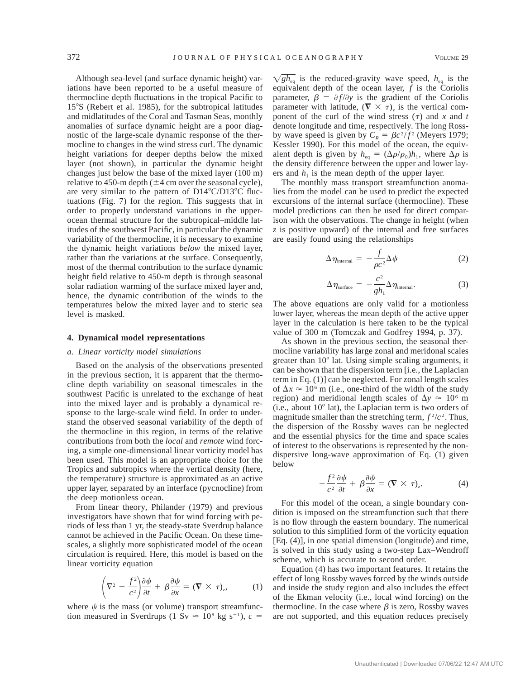Although sea-level (and surface dynamic height) variations have been reported to be a useful measure of thermocline depth fluctuations in the tropical Pacific to 15°S (Rebert et al. 1985), for the subtropical latitudes and midlatitudes of the Coral and Tasman Seas, monthly anomalies of surface dynamic height are a poor diagnostic of the large-scale dynamic response of the thermocline to changes in the wind stress curl. The dynamic height variations for deeper depths below the mixed layer (not shown), in particular the dynamic height changes just below the base of the mixed layer (100 m) relative to 450-m depth ( $\pm$ 4 cm over the seasonal cycle), are very similar to the pattern of  $D14^{\circ}C/D13^{\circ}C$  fluctuations (Fig. 7) for the region. This suggests that in order to properly understand variations in the upperocean thermal structure for the subtropical–middle latitudes of the southwest Pacific, in particular the dynamic variability of the thermocline, it is necessary to examine the dynamic height variations *below* the mixed layer, rather than the variations at the surface. Consequently, most of the thermal contribution to the surface dynamic height field relative to 450-m depth is through seasonal solar radiation warming of the surface mixed layer and, hence, the dynamic contribution of the winds to the temperatures below the mixed layer and to steric sea level is masked.

### **4. Dynamical model representations**

#### *a. Linear vorticity model simulations*

Based on the analysis of the observations presented in the previous section, it is apparent that the thermocline depth variability on seasonal timescales in the southwest Pacific is unrelated to the exchange of heat into the mixed layer and is probably a dynamical response to the large-scale wind field. In order to understand the observed seasonal variability of the depth of the thermocline in this region, in terms of the relative contributions from both the *local* and *remote* wind forcing, a simple one-dimensional linear vorticity model has been used. This model is an appropriate choice for the Tropics and subtropics where the vertical density (here, the temperature) structure is approximated as an active upper layer, separated by an interface (pycnocline) from the deep motionless ocean.

From linear theory, Philander (1979) and previous investigators have shown that for wind forcing with periods of less than 1 yr, the steady-state Sverdrup balance cannot be achieved in the Pacific Ocean. On these timescales, a slightly more sophisticated model of the ocean circulation is required. Here, this model is based on the linear vorticity equation

$$
\left(\nabla^2 - \frac{f^2}{c^2}\right)\frac{\partial \psi}{\partial t} + \beta \frac{\partial \psi}{\partial x} = (\nabla \times \tau)_z,\tag{1}
$$

where  $\psi$  is the mass (or volume) transport streamfunction measured in Sverdrups (1 Sv  $\approx 10^9$  kg s<sup>-1</sup>),  $c =$ 

 $\sqrt{gh_{\text{eq}}}$  is the reduced-gravity wave speed,  $h_{\text{eq}}$  is the equivalent depth of the ocean layer, *f* is the Coriolis parameter,  $\beta = \partial f / \partial y$  is the gradient of the Coriolis parameter with latitude,  $(\nabla \times \tau)$ <sub>z</sub> is the vertical component of the curl of the wind stress  $(\tau)$  and *x* and *t* denote longitude and time, respectively. The long Rossby wave speed is given by  $C_R = \beta c^2/f^2$  (Meyers 1979; Kessler 1990). For this model of the ocean, the equivalent depth is given by  $h_{eq} = (\Delta \rho / \rho_0) h_1$ , where  $\Delta \rho$  is the density difference between the upper and lower layers and  $h_1$  is the mean depth of the upper layer.

The monthly mass transport streamfunction anomalies from the model can be used to predict the expected excursions of the internal surface (thermocline). These model predictions can then be used for direct comparison with the observations. The change in height (when *z* is positive upward) of the internal and free surfaces are easily found using the relationships

$$
\Delta \eta_{\text{internal}} = -\frac{f}{\rho c^2} \Delta \psi \tag{2}
$$

$$
\Delta \eta_{\text{surface}} = -\frac{c^2}{gh_1} \Delta \eta_{\text{internal}}.
$$
 (3)

The above equations are only valid for a motionless lower layer, whereas the mean depth of the active upper layer in the calculation is here taken to be the typical value of 300 m (Tomczak and Godfrey 1994, p. 37).

As shown in the previous section, the seasonal thermocline variability has large zonal and meridonal scales greater than  $10^{\circ}$  lat. Using simple scaling arguments, it can be shown that the dispersion term [i.e., the Laplacian term in Eq. (1)] can be neglected. For zonal length scales of  $\Delta x \approx 10^6$  m (i.e., one-third of the width of the study region) and meridional length scales of  $\Delta y \approx 10^6$  m (i.e., about  $10^{\circ}$  lat), the Laplacian term is two orders of magnitude smaller than the stretching term,  $f^2/c^2$ . Thus, the dispersion of the Rossby waves can be neglected and the essential physics for the time and space scales of interest to the observations is represented by the nondispersive long-wave approximation of Eq. (1) given below

$$
-\frac{f^2}{c^2}\frac{\partial\psi}{\partial t} + \beta\frac{\partial\psi}{\partial x} = (\nabla \times \tau)_z.
$$
 (4)

For this model of the ocean, a single boundary condition is imposed on the streamfunction such that there is no flow through the eastern boundary. The numerical solution to this simplified form of the vorticity equation [Eq. (4)], in one spatial dimension (longitude) and time, is solved in this study using a two-step Lax–Wendroff scheme, which is accurate to second order.

Equation (4) has two important features. It retains the effect of long Rossby waves forced by the winds outside and inside the study region and also includes the effect of the Ekman velocity (i.e., local wind forcing) on the thermocline. In the case where  $\beta$  is zero, Rossby waves are not supported, and this equation reduces precisely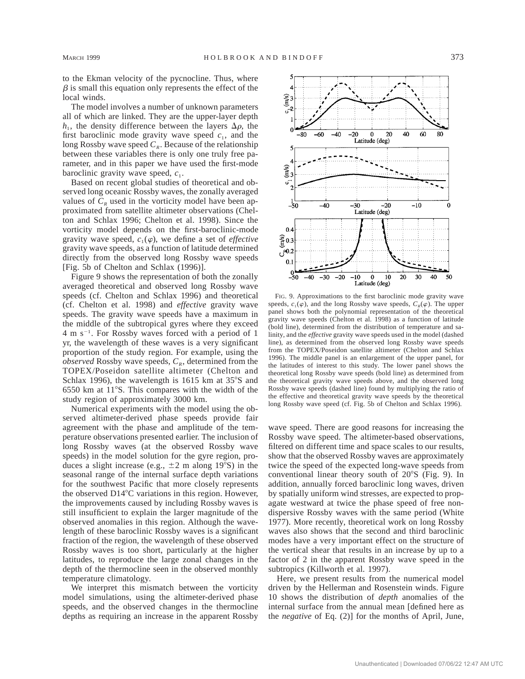local winds. The model involves a number of unknown parameters all of which are linked. They are the upper-layer depth  $h_1$ , the density difference between the layers  $\Delta \rho$ , the first baroclinic mode gravity wave speed  $c<sub>1</sub>$ , and the long Rossby wave speed  $C_R$ . Because of the relationship between these variables there is only one truly free parameter, and in this paper we have used the first-mode baroclinic gravity wave speed,  $c_1$ .

Based on recent global studies of theoretical and observed long oceanic Rossby waves, the zonally averaged values of  $C_R$  used in the vorticity model have been approximated from satellite altimeter observations (Chelton and Schlax 1996; Chelton et al. 1998). Since the vorticity model depends on the first-baroclinic-mode gravity wave speed,  $c_1(\varphi)$ , we define a set of *effective* gravity wave speeds, as a function of latitude determined directly from the observed long Rossby wave speeds [Fig. 5b of Chelton and Schlax (1996)].

Figure 9 shows the representation of both the zonally averaged theoretical and observed long Rossby wave speeds (cf. Chelton and Schlax 1996) and theoretical (cf. Chelton et al. 1998) and *effective* gravity wave speeds. The gravity wave speeds have a maximum in the middle of the subtropical gyres where they exceed  $4 \text{ m s}^{-1}$ . For Rossby waves forced with a period of 1 yr, the wavelength of these waves is a very significant proportion of the study region. For example, using the *observed* Rossby wave speeds,  $C_R$ , determined from the TOPEX/Poseidon satellite altimeter (Chelton and Schlax 1996), the wavelength is  $1615$  km at  $35^{\circ}$ S and 6550 km at  $11^{\circ}$ S. This compares with the width of the study region of approximately 3000 km.

Numerical experiments with the model using the observed altimeter-derived phase speeds provide fair agreement with the phase and amplitude of the temperature observations presented earlier. The inclusion of long Rossby waves (at the observed Rossby wave speeds) in the model solution for the gyre region, produces a slight increase (e.g.,  $\pm 2$  m along 19°S) in the seasonal range of the internal surface depth variations for the southwest Pacific that more closely represents the observed  $D14^{\circ}C$  variations in this region. However, the improvements caused by including Rossby waves is still insufficient to explain the larger magnitude of the observed anomalies in this region. Although the wavelength of these baroclinic Rossby waves is a significant fraction of the region, the wavelength of these observed Rossby waves is too short, particularly at the higher latitudes, to reproduce the large zonal changes in the depth of the thermocline seen in the observed monthly temperature climatology.

We interpret this mismatch between the vorticity model simulations, using the altimeter-derived phase speeds, and the observed changes in the thermocline depths as requiring an increase in the apparent Rossby



FIG. 9. Approximations to the first baroclinic mode gravity wave speeds,  $c_1(\hat{\varphi})$ , and the long Rossby wave speeds,  $C_R(\varphi)$ . The upper panel shows both the polynomial representation of the theoretical gravity wave speeds (Chelton et al. 1998) as a function of latitude (bold line), determined from the distribution of temperature and salinity, and the *effective* gravity wave speeds used in the model (dashed line), as determined from the observed long Rossby wave speeds from the TOPEX/Poseidon satellite altimeter (Chelton and Schlax 1996). The middle panel is an enlargement of the upper panel, for the latitudes of interest to this study. The lower panel shows the theoretical long Rossby wave speeds (bold line) as determined from the theoretical gravity wave speeds above, and the observed long Rossby wave speeds (dashed line) found by multiplying the ratio of the effective and theoretical gravity wave speeds by the theoretical long Rossby wave speed (cf. Fig. 5b of Chelton and Schlax 1996).

wave speed. There are good reasons for increasing the Rossby wave speed. The altimeter-based observations, filtered on different time and space scales to our results, show that the observed Rossby waves are approximately twice the speed of the expected long-wave speeds from conventional linear theory south of  $20^{\circ}S$  (Fig. 9). In addition, annually forced baroclinic long waves, driven by spatially uniform wind stresses, are expected to propagate westward at twice the phase speed of free nondispersive Rossby waves with the same period (White 1977). More recently, theoretical work on long Rossby waves also shows that the second and third baroclinic modes have a very important effect on the structure of the vertical shear that results in an increase by up to a factor of 2 in the apparent Rossby wave speed in the subtropics (Killworth et al. 1997).

Here, we present results from the numerical model driven by the Hellerman and Rosenstein winds. Figure 10 shows the distribution of *depth* anomalies of the internal surface from the annual mean [defined here as the *negative* of Eq. (2)] for the months of April, June,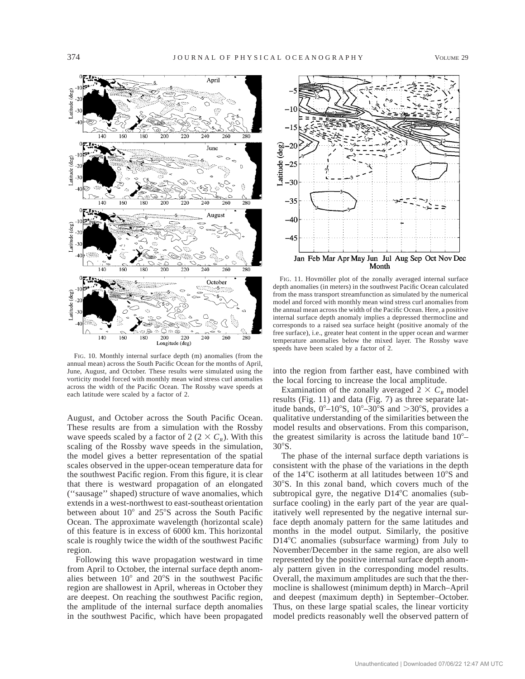

FIG. 10. Monthly internal surface depth (m) anomalies (from the annual mean) across the South Pacific Ocean for the months of April, June, August, and October. These results were simulated using the vorticity model forced with monthly mean wind stress curl anomalies across the width of the Pacific Ocean. The Rossby wave speeds at each latitude were scaled by a factor of 2.

August, and October across the South Pacific Ocean. These results are from a simulation with the Rossby wave speeds scaled by a factor of 2 ( $2 \times C_R$ ). With this scaling of the Rossby wave speeds in the simulation, the model gives a better representation of the spatial scales observed in the upper-ocean temperature data for the southwest Pacific region. From this figure, it is clear that there is westward propagation of an elongated (''sausage'' shaped) structure of wave anomalies, which extends in a west-northwest to east-southeast orientation between about  $10^{\circ}$  and  $25^{\circ}$ S across the South Pacific Ocean. The approximate wavelength (horizontal scale) of this feature is in excess of 6000 km. This horizontal scale is roughly twice the width of the southwest Pacific region.

Following this wave propagation westward in time from April to October, the internal surface depth anomalies between  $10^{\circ}$  and  $20^{\circ}$ S in the southwest Pacific region are shallowest in April, whereas in October they are deepest. On reaching the southwest Pacific region, the amplitude of the internal surface depth anomalies in the southwest Pacific, which have been propagated



FIG. 11. Hovmöller plot of the zonally averaged internal surface depth anomalies (in meters) in the southwest Pacific Ocean calculated from the mass transport streamfunction as simulated by the numerical model and forced with monthly mean wind stress curl anomalies from the annual mean across the width of the Pacific Ocean. Here, a positive internal surface depth anomaly implies a depressed thermocline and corresponds to a raised sea surface height (positive anomaly of the free surface), i.e., greater heat content in the upper ocean and warmer temperature anomalies below the mixed layer. The Rossby wave speeds have been scaled by a factor of 2.

into the region from farther east, have combined with the local forcing to increase the local amplitude.

Examination of the zonally averaged  $2 \times C_R$  model results (Fig. 11) and data (Fig. 7) as three separate latitude bands,  $0^{\circ}-10^{\circ}$ S,  $10^{\circ}-30^{\circ}$ S and  $>30^{\circ}$ S, provides a qualitative understanding of the similarities between the model results and observations. From this comparison, the greatest similarity is across the latitude band  $10^{\circ}$ – 30°S.

The phase of the internal surface depth variations is consistent with the phase of the variations in the depth of the  $14^{\circ}$ C isotherm at all latitudes between  $10^{\circ}$ S and  $30^{\circ}$ S. In this zonal band, which covers much of the subtropical gyre, the negative  $D14^{\circ}C$  anomalies (subsurface cooling) in the early part of the year are qualitatively well represented by the negative internal surface depth anomaly pattern for the same latitudes and months in the model output. Similarly, the positive  $D14^{\circ}$ C anomalies (subsurface warming) from July to November/December in the same region, are also well represented by the positive internal surface depth anomaly pattern given in the corresponding model results. Overall, the maximum amplitudes are such that the thermocline is shallowest (minimum depth) in March–April and deepest (maximum depth) in September–October. Thus, on these large spatial scales, the linear vorticity model predicts reasonably well the observed pattern of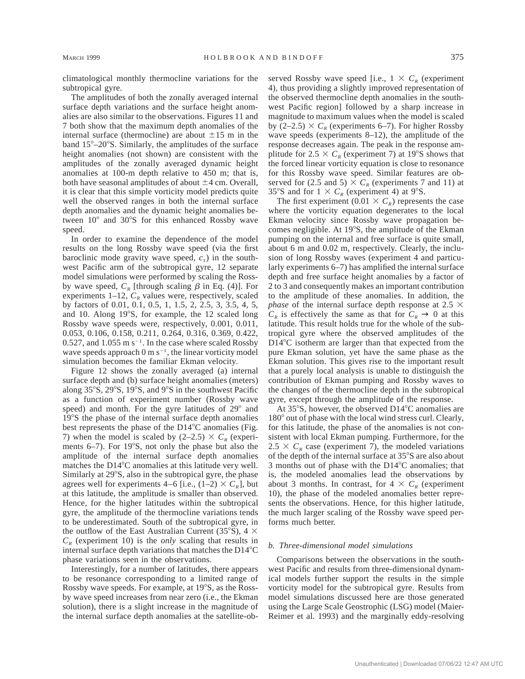climatological monthly thermocline variations for the subtropical gyre.

The amplitudes of both the zonally averaged internal surface depth variations and the surface height anomalies are also similar to the observations. Figures 11 and 7 both show that the maximum depth anomalies of the internal surface (thermocline) are about  $\pm 15$  m in the band  $15^{\circ}$ –20 $^{\circ}$ S. Similarly, the amplitudes of the surface height anomalies (not shown) are consistent with the amplitudes of the zonally averaged dynamic height anomalies at 100-m depth relative to 450 m; that is, both have seasonal amplitudes of about  $\pm 4$  cm. Overall, it is clear that this simple vorticity model predicts quite well the observed ranges in both the internal surface depth anomalies and the dynamic height anomalies between  $10^{\circ}$  and  $30^{\circ}$ S for this enhanced Rossby wave speed.

In order to examine the dependence of the model results on the long Rossby wave speed (via the first baroclinic mode gravity wave speed,  $c_1$ ) in the southwest Pacific arm of the subtropical gyre, 12 separate model simulations were performed by scaling the Rossby wave speed,  $C_R$  [through scaling  $\beta$  in Eq. (4)]. For experiments 1–12,  $C_R$  values were, respectively, scaled by factors of 0.01, 0.1, 0.5, 1, 1.5, 2, 2.5, 3, 3.5, 4, 5, and 10. Along  $19^{\circ}$ S, for example, the 12 scaled long Rossby wave speeds were, respectively, 0.001, 0.011, 0.053, 0.106, 0.158, 0.211, 0.264, 0.316, 0.369, 0.422, 0.527, and 1.055 m  $s^{-1}$ . In the case where scaled Rossby wave speeds approach  $0 \text{ m s}^{-1}$ , the linear vorticity model simulation becomes the familiar Ekman velocity.

Figure 12 shows the zonally averaged (a) internal surface depth and (b) surface height anomalies (meters) along  $35^{\circ}$ S,  $29^{\circ}$ S,  $19^{\circ}$ S, and  $9^{\circ}$ S in the southwest Pacific as a function of experiment number (Rossby wave speed) and month. For the gyre latitudes of  $29^{\circ}$  and 19°S the phase of the internal surface depth anomalies best represents the phase of the  $D14^{\circ}C$  anomalies (Fig. 7) when the model is scaled by  $(2-2.5) \times C_R$  (experiments  $6-7$ ). For 19 $\textdegree$ S, not only the phase but also the amplitude of the internal surface depth anomalies matches the  $D14^{\circ}C$  anomalies at this latitude very well. Similarly at 29°S, also in the subtropical gyre, the phase agrees well for experiments 4–6 [i.e.,  $(1-2) \times C_R$ ], but at this latitude, the amplitude is smaller than observed. Hence, for the higher latitudes within the subtropical gyre, the amplitude of the thermocline variations tends to be underestimated. South of the subtropical gyre, in the outflow of the East Australian Current (35°S), 4  $\times$  $C_R$  (experiment 10) is the *only* scaling that results in internal surface depth variations that matches the  $D14^{\circ}C$ phase variations seen in the observations.

Interestingly, for a number of latitudes, there appears to be resonance corresponding to a limited range of Rossby wave speeds. For example, at 19°S, as the Rossby wave speed increases from near zero (i.e., the Ekman solution), there is a slight increase in the magnitude of the internal surface depth anomalies at the satellite-observed Rossby wave speed [i.e.,  $1 \times C_R$  (experiment 4), thus providing a slightly improved representation of the observed thermocline depth anomalies in the southwest Pacific region] followed by a sharp increase in magnitude to maximum values when the model is scaled by  $(2-2.5) \times C_R$  (experiments 6–7). For higher Rossby wave speeds (experiments 8–12), the amplitude of the response decreases again. The peak in the response amplitude for 2.5  $\times$  *C<sub>R</sub>* (experiment 7) at 19°S shows that the forced linear vorticity equation is close to resonance for this Rossby wave speed. Similar features are observed for (2.5 and 5)  $\times C_R$  (experiments 7 and 11) at 35°S and for  $1 \times C_R$  (experiment 4) at 9°S.

The first experiment  $(0.01 \times C_R)$  represents the case where the vorticity equation degenerates to the local Ekman velocity since Rossby wave propagation becomes negligible. At 19°S, the amplitude of the Ekman pumping on the internal and free surface is quite small, about 6 m and 0.02 m, respectively. Clearly, the inclusion of long Rossby waves (experiment 4 and particularly experiments 6–7) has amplified the internal surface depth and free surface height anomalies by a factor of 2 to 3 and consequently makes an important contribution to the amplitude of these anomalies. In addition, the *phase* of the internal surface depth response at 2.5  $\times$  $C_R$  is effectively the same as that for  $C_R \to 0$  at this latitude. This result holds true for the whole of the subtropical gyre where the observed amplitudes of the  $D14^{\circ}$ C isotherm are larger than that expected from the pure Ekman solution, yet have the same phase as the Ekman solution. This gives rise to the important result that a purely local analysis is unable to distinguish the contribution of Ekman pumping and Rossby waves to the changes of the thermocline depth in the subtropical gyre, except through the amplitude of the response.

At  $35^{\circ}$ S, however, the observed D14 $^{\circ}$ C anomalies are 180° out of phase with the local wind stress curl. Clearly, for this latitude, the phase of the anomalies is not consistent with local Ekman pumping. Furthermore, for the  $2.5 \times C_R$  case (experiment 7), the modeled variations of the depth of the internal surface at 35°S are also about 3 months out of phase with the  $D14^{\circ}C$  anomalies; that is, the modeled anomalies lead the observations by about 3 months. In contrast, for  $4 \times C_R$  (experiment 10), the phase of the modeled anomalies better represents the observations. Hence, for this higher latitude, the much larger scaling of the Rossby wave speed performs much better.

### *b. Three-dimensional model simulations*

Comparisons between the observations in the southwest Pacific and results from three-dimensional dynamical models further support the results in the simple vorticity model for the subtropical gyre. Results from model simulations discussed here are those generated using the Large Scale Geostrophic (LSG) model (Maier-Reimer et al. 1993) and the marginally eddy-resolving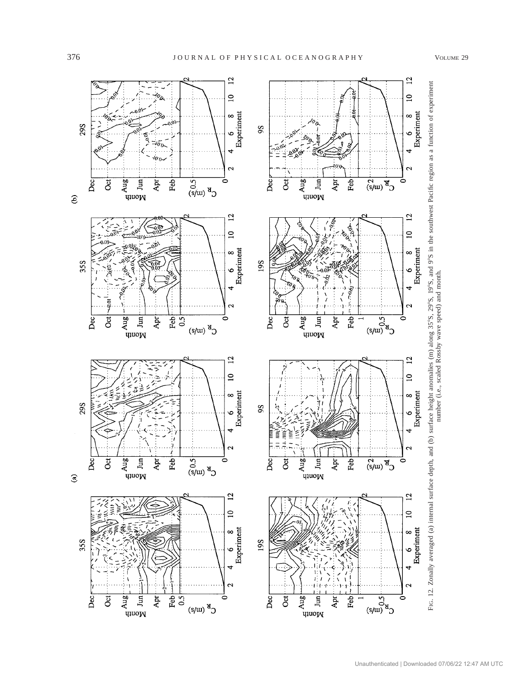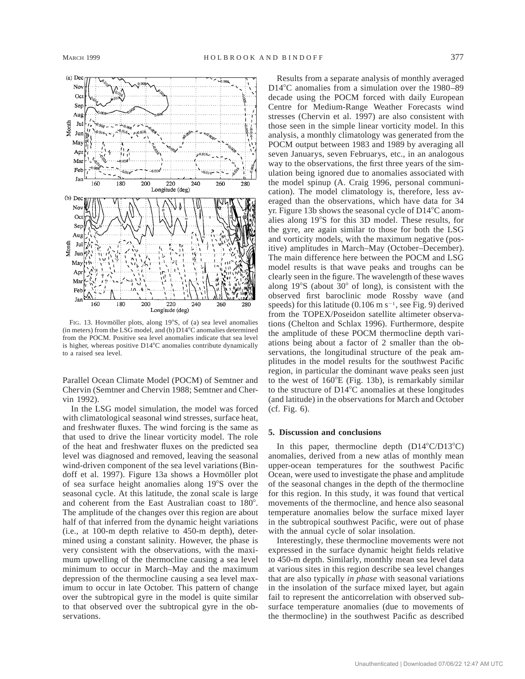

FIG. 13. Hovmöller plots, along 19°S, of (a) sea level anomalies (in meters) from the LSG model, and (b)  $D14^{\circ}C$  anomalies determined from the POCM. Positive sea level anomalies indicate that sea level is higher, whereas positive  $D14^{\circ}C$  anomalies contribute dynamically to a raised sea level.

Parallel Ocean Climate Model (POCM) of Semtner and Chervin (Semtner and Chervin 1988; Semtner and Chervin 1992).

In the LSG model simulation, the model was forced with climatological seasonal wind stresses, surface heat, and freshwater fluxes. The wind forcing is the same as that used to drive the linear vorticity model. The role of the heat and freshwater fluxes on the predicted sea level was diagnosed and removed, leaving the seasonal wind-driven component of the sea level variations (Bindoff et al. 1997). Figure 13a shows a Hovmöller plot of sea surface height anomalies along  $19^{\circ}$ S over the seasonal cycle. At this latitude, the zonal scale is large and coherent from the East Australian coast to 180°. The amplitude of the changes over this region are about half of that inferred from the dynamic height variations (i.e., at 100-m depth relative to 450-m depth), determined using a constant salinity. However, the phase is very consistent with the observations, with the maximum upwelling of the thermocline causing a sea level minimum to occur in March–May and the maximum depression of the thermocline causing a sea level maximum to occur in late October. This pattern of change over the subtropical gyre in the model is quite similar to that observed over the subtropical gyre in the observations.

Results from a separate analysis of monthly averaged  $D14^{\circ}$ C anomalies from a simulation over the 1980–89 decade using the POCM forced with daily European Centre for Medium-Range Weather Forecasts wind stresses (Chervin et al. 1997) are also consistent with those seen in the simple linear vorticity model. In this analysis, a monthly climatology was generated from the POCM output between 1983 and 1989 by averaging all seven Januarys, seven Februarys, etc., in an analogous way to the observations, the first three years of the simulation being ignored due to anomalies associated with the model spinup (A. Craig 1996, personal communication). The model climatology is, therefore, less averaged than the observations, which have data for 34 yr. Figure 13b shows the seasonal cycle of  $D14^{\circ}C$  anomalies along 19°S for this 3D model. These results, for the gyre, are again similar to those for both the LSG and vorticity models, with the maximum negative (positive) amplitudes in March–May (October–December). The main difference here between the POCM and LSG model results is that wave peaks and troughs can be clearly seen in the figure. The wavelength of these waves along  $19^{\circ}$ S (about  $30^{\circ}$  of long), is consistent with the observed first baroclinic mode Rossby wave (and speeds) for this latitude  $(0.106 \text{ m s}^{-1})$ , see Fig. 9) derived from the TOPEX/Poseidon satellite altimeter observations (Chelton and Schlax 1996). Furthermore, despite the amplitude of these POCM thermocline depth variations being about a factor of 2 smaller than the observations, the longitudinal structure of the peak amplitudes in the model results for the southwest Pacific region, in particular the dominant wave peaks seen just to the west of  $160^{\circ}E$  (Fig. 13b), is remarkably similar to the structure of  $D14^{\circ}C$  anomalies at these longitudes (and latitude) in the observations for March and October (cf. Fig. 6).

### **5. Discussion and conclusions**

In this paper, thermocline depth  $(D14^{\circ}C/D13^{\circ}C)$ anomalies, derived from a new atlas of monthly mean upper-ocean temperatures for the southwest Pacific Ocean, were used to investigate the phase and amplitude of the seasonal changes in the depth of the thermocline for this region. In this study, it was found that vertical movements of the thermocline, and hence also seasonal temperature anomalies below the surface mixed layer in the subtropical southwest Pacific, were out of phase with the annual cycle of solar insolation.

Interestingly, these thermocline movements were not expressed in the surface dynamic height fields relative to 450-m depth. Similarly, monthly mean sea level data at various sites in this region describe sea level changes that are also typically *in phase* with seasonal variations in the insolation of the surface mixed layer, but again fail to represent the anticorrelation with observed subsurface temperature anomalies (due to movements of the thermocline) in the southwest Pacific as described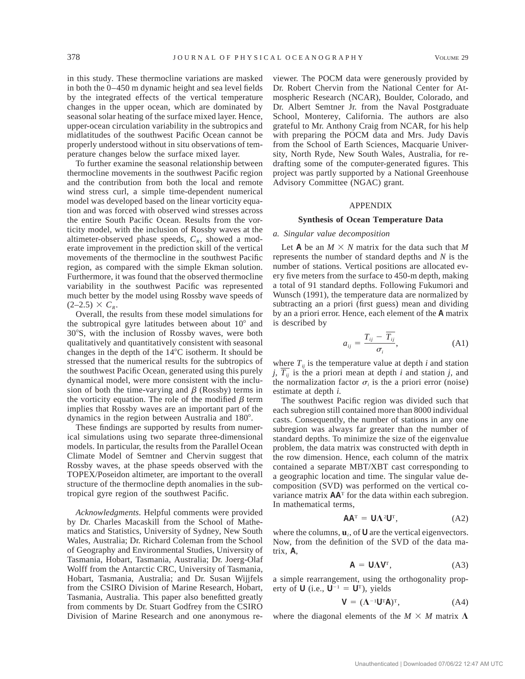in this study. These thermocline variations are masked in both the 0–450 m dynamic height and sea level fields by the integrated effects of the vertical temperature changes in the upper ocean, which are dominated by seasonal solar heating of the surface mixed layer. Hence, upper-ocean circulation variability in the subtropics and midlatitudes of the southwest Pacific Ocean cannot be properly understood without in situ observations of temperature changes below the surface mixed layer.

To further examine the seasonal relationship between thermocline movements in the southwest Pacific region and the contribution from both the local and remote wind stress curl, a simple time-dependent numerical model was developed based on the linear vorticity equation and was forced with observed wind stresses across the entire South Pacific Ocean. Results from the vorticity model, with the inclusion of Rossby waves at the altimeter-observed phase speeds,  $C_R$ , showed a moderate improvement in the prediction skill of the vertical movements of the thermocline in the southwest Pacific region, as compared with the simple Ekman solution. Furthermore, it was found that the observed thermocline variability in the southwest Pacific was represented much better by the model using Rossby wave speeds of  $(2-2.5) \times C_{R}$ 

Overall, the results from these model simulations for the subtropical gyre latitudes between about  $10^{\circ}$  and 308S, with the inclusion of Rossby waves, were both qualitatively and quantitatively consistent with seasonal changes in the depth of the  $14^{\circ}$ C isotherm. It should be stressed that the numerical results for the subtropics of the southwest Pacific Ocean, generated using this purely dynamical model, were more consistent with the inclusion of both the time-varying and  $\beta$  (Rossby) terms in the vorticity equation. The role of the modified  $\beta$  term implies that Rossby waves are an important part of the dynamics in the region between Australia and 180°.

These findings are supported by results from numerical simulations using two separate three-dimensional models. In particular, the results from the Parallel Ocean Climate Model of Semtner and Chervin suggest that Rossby waves, at the phase speeds observed with the TOPEX/Poseidon altimeter, are important to the overall structure of the thermocline depth anomalies in the subtropical gyre region of the southwest Pacific.

*Acknowledgments.* Helpful comments were provided by Dr. Charles Macaskill from the School of Mathematics and Statistics, University of Sydney, New South Wales, Australia; Dr. Richard Coleman from the School of Geography and Environmental Studies, University of Tasmania, Hobart, Tasmania, Australia; Dr. Joerg-Olaf Wolff from the Antarctic CRC, University of Tasmania, Hobart, Tasmania, Australia; and Dr. Susan Wijjfels from the CSIRO Division of Marine Research, Hobart, Tasmania, Australia. This paper also benefitted greatly from comments by Dr. Stuart Godfrey from the CSIRO Division of Marine Research and one anonymous reviewer. The POCM data were generously provided by Dr. Robert Chervin from the National Center for Atmospheric Research (NCAR), Boulder, Colorado, and Dr. Albert Semtner Jr. from the Naval Postgraduate School, Monterey, California. The authors are also grateful to Mr. Anthony Craig from NCAR, for his help with preparing the POCM data and Mrs. Judy Davis from the School of Earth Sciences, Macquarie University, North Ryde, New South Wales, Australia, for redrafting some of the computer-generated figures. This project was partly supported by a National Greenhouse Advisory Committee (NGAC) grant.

#### APPENDIX

#### **Synthesis of Ocean Temperature Data**

#### *a. Singular value decomposition*

Let **A** be an  $M \times N$  matrix for the data such that M represents the number of standard depths and *N* is the number of stations. Vertical positions are allocated every five meters from the surface to 450-m depth, making a total of 91 standard depths. Following Fukumori and Wunsch (1991), the temperature data are normalized by subtracting an a priori (first guess) mean and dividing by an a priori error. Hence, each element of the **A** matrix is described by

$$
a_{ij} = \frac{T_{ij} - \overline{T_{ij}}}{\sigma_i},
$$
 (A1)

where  $T_{ij}$  is the temperature value at depth *i* and station *j,*  $T_{ii}$  is the a priori mean at depth *i* and station *j*, and the normalization factor  $\sigma_i$  is the a priori error (noise) estimate at depth *i.*

The southwest Pacific region was divided such that each subregion still contained more than 8000 individual casts. Consequently, the number of stations in any one subregion was always far greater than the number of standard depths. To minimize the size of the eigenvalue problem, the data matrix was constructed with depth in the row dimension. Hence, each column of the matrix contained a separate MBT/XBT cast corresponding to a geographic location and time. The singular value decomposition (SVD) was performed on the vertical covariance matrix **AA**<sup>T</sup> for the data within each subregion. In mathematical terms,

$$
AA^{\mathrm{T}} = U\Lambda^2 U^{\mathrm{T}},\tag{A2}
$$

where the columns,  $\mathbf{u}_i$ , of **U** are the vertical eigenvectors. Now, from the definition of the SVD of the data matrix, **A**,

$$
\mathbf{A} = \mathbf{U}\Lambda\mathbf{V}^{\mathrm{T}},\tag{A3}
$$

a simple rearrangement, using the orthogonality property of **U** (i.e.,  $U^{-1} = U^{T}$ ), yields

$$
\mathbf{V} = (\mathbf{\Lambda}^{-1} \mathbf{U}^{\mathrm{T}} \mathbf{A})^{\mathrm{T}}, \tag{A4}
$$

where the diagonal elements of the  $M \times M$  matrix  $\Lambda$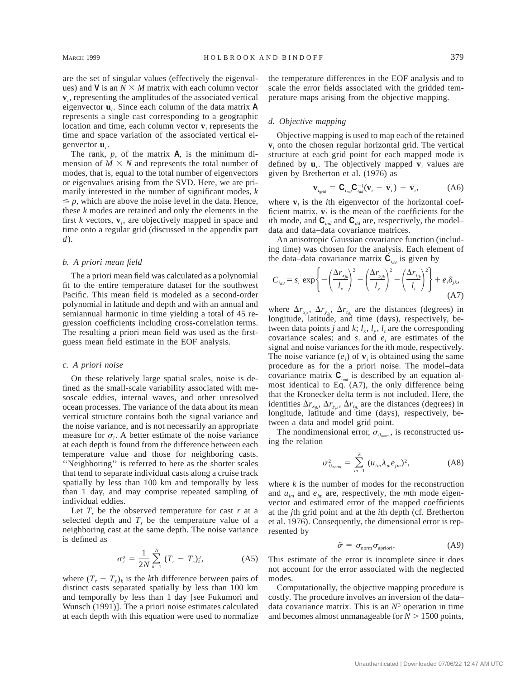are the set of singular values (effectively the eigenvalues) and **V** is an  $N \times M$  matrix with each column vector **v***i*, representing the amplitudes of the associated vertical eigenvector **u***i*. Since each column of the data matrix **A** represents a single cast corresponding to a geographic location and time, each column vector **v***<sup>i</sup>* represents the time and space variation of the associated vertical eigenvector **u***i*.

The rank, *p,* of the matrix **A**, is the minimum dimension of  $M \times N$  and represents the total number of modes, that is, equal to the total number of eigenvectors or eigenvalues arising from the SVD. Here, we are primarily interested in the number of significant modes, *k*  $\leq p$ , which are above the noise level in the data. Hence, these *k* modes are retained and only the elements in the first *k* vectors, **v***i*, are objectively mapped in space and time onto a regular grid (discussed in the appendix part *d*).

#### *b. A priori mean field*

The a priori mean field was calculated as a polynomial fit to the entire temperature dataset for the southwest Pacific. This mean field is modeled as a second-order polynomial in latitude and depth and with an annual and semiannual harmonic in time yielding a total of 45 regression coefficients including cross-correlation terms. The resulting a priori mean field was used as the firstguess mean field estimate in the EOF analysis.

#### *c. A priori noise*

On these relatively large spatial scales, noise is defined as the small-scale variability associated with mesoscale eddies, internal waves, and other unresolved ocean processes. The variance of the data about its mean vertical structure contains both the signal variance and the noise variance, and is not necessarily an appropriate measure for  $\sigma_i$ . A better estimate of the noise variance at each depth is found from the difference between each temperature value and those for neighboring casts. ''Neighboring'' is referred to here as the shorter scales that tend to separate individual casts along a cruise track spatially by less than 100 km and temporally by less than 1 day, and may comprise repeated sampling of individual eddies.

Let  $T<sub>r</sub>$  be the observed temperature for cast  $r$  at a selected depth and  $T<sub>s</sub>$  be the temperature value of a neighboring cast at the same depth. The noise variance is defined as

$$
\sigma_i^2 = \frac{1}{2N} \sum_{k=1}^N (T_r - T_s)_k^2, \tag{A5}
$$

where  $(T_r - T_s)_k$  is the *k*th difference between pairs of distinct casts separated spatially by less than 100 km and temporally by less than 1 day [see Fukumori and Wunsch (1991)]. The a priori noise estimates calculated at each depth with this equation were used to normalize the temperature differences in the EOF analysis and to scale the error fields associated with the gridded temperature maps arising from the objective mapping.

### *d. Objective mapping*

Objective mapping is used to map each of the retained  $v_i$  onto the chosen regular horizontal grid. The vertical structure at each grid point for each mapped mode is defined by  $\mathbf{u}_i$ . The objectively mapped  $\mathbf{v}_i$  values are given by Bretherton et al. (1976) as

$$
\mathbf{v}_{i_{\text{grid}}} = \mathbf{C}_{i_{\text{mid}}} \mathbf{C}_{i_{\text{old}}}^{-1} (\mathbf{v}_i - \overline{\mathbf{v}_i}) + \overline{\mathbf{v}_i}, \tag{A6}
$$

where  $\mathbf{v}_i$  is the *i*th eigenvector of the horizontal coefficient matrix,  $\overline{v_i}$  is the mean of the coefficients for the *i*th mode, and  $\mathbf{C}_{md}$  and  $\mathbf{C}_{dd}$  are, respectively, the model– data and data–data covariance matrices.

An anisotropic Gaussian covariance function (including time) was chosen for the analysis. Each element of the data–data covariance matrix  $\mathbf{C}_{i_{dd}}$  is given by

$$
C_{i_{dd}} = s_i \exp\left\{-\left(\frac{\Delta r_{x_{jk}}}{l_x}\right)^2 - \left(\frac{\Delta r_{y_{jk}}}{l_y}\right)^2 - \left(\frac{\Delta r_{t_{jk}}}{l_t}\right)^2\right\} + e_i \delta_{jk},\tag{A7}
$$

where  $\Delta r_{x_k}$ ,  $\Delta r_{y_k}$ ,  $\Delta r_{t_k}$  are the distances (degrees) in longitude, latitude, and time (days), respectively, between data points *j* and *k*;  $l_x$ ,  $l_y$ ,  $l_t$  are the corresponding covariance scales; and  $s_i$  and  $e_i$  are estimates of the signal and noise variances for the *i*th mode, respectively. The noise variance  $(e_i)$  of  $\mathbf{v}_i$  is obtained using the same procedure as for the a priori noise. The model–data covariance matrix  $\mathbf{C}_{i_{md}}$  is described by an equation almost identical to Eq. (A7), the only difference being that the Kronecker delta term is not included. Here, the identities  $\Delta r_{x_k}$ ,  $\Delta r_{y_k}$ ,  $\Delta r_{t_k}$  are the distances (degrees) in longitude, latitude and time (days), respectively, between a data and model grid point.

The nondimensional error,  $\sigma_{ij_{\text{norm}}}$ , is reconstructed using the relation

$$
\sigma_{ij_{\text{nom}}}^2 = \sum_{m=1}^k (u_{im} \lambda_m e_{jm})^2, \tag{A8}
$$

where *k* is the number of modes for the reconstruction and  $u_{im}$  and  $e_{im}$  are, respectively, the *m*th mode eigenvector and estimated error of the mapped coefficients at the *j*th grid point and at the *i*th depth (cf. Bretherton et al. 1976). Consequently, the dimensional error is represented by

$$
\hat{\sigma} = \sigma_{\text{norm}} \sigma_{\text{apriori}}.
$$
 (A9)

This estimate of the error is incomplete since it does not account for the error associated with the neglected modes.

Computationally, the objective mapping procedure is costly. The procedure involves an inversion of the data– data covariance matrix. This is an  $N<sup>3</sup>$  operation in time and becomes almost unmanageable for  $N > 1500$  points,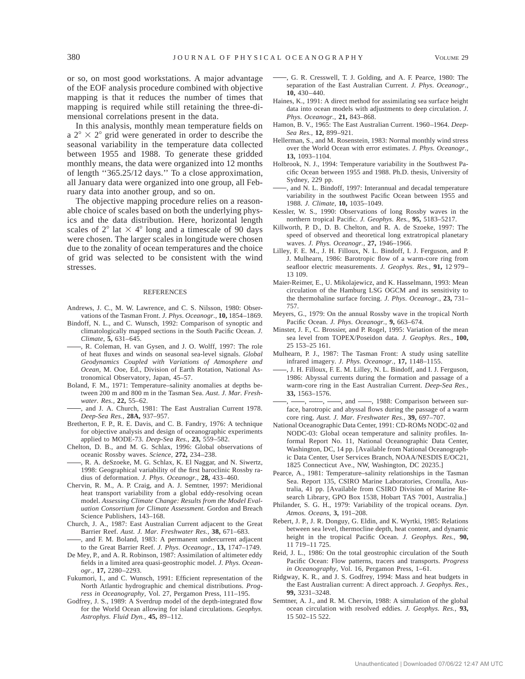or so, on most good workstations. A major advantage of the EOF analysis procedure combined with objective mapping is that it reduces the number of times that mapping is required while still retaining the three-dimensional correlations present in the data.

In this analysis, monthly mean temperature fields on a  $2^{\circ} \times 2^{\circ}$  grid were generated in order to describe the seasonal variability in the temperature data collected between 1955 and 1988. To generate these gridded monthly means, the data were organized into 12 months of length ''365.25/12 days.'' To a close approximation, all January data were organized into one group, all February data into another group, and so on.

The objective mapping procedure relies on a reasonable choice of scales based on both the underlying physics and the data distribution. Here, horizontal length scales of  $2^{\circ}$  lat  $\times$  4 $^{\circ}$  long and a timescale of 90 days were chosen. The larger scales in longitude were chosen due to the zonality of ocean temperatures and the choice of grid was selected to be consistent with the wind stresses.

#### REFERENCES

- Andrews, J. C., M. W. Lawrence, and C. S. Nilsson, 1980: Observations of the Tasman Front. *J. Phys. Oceanogr.,* **10,** 1854–1869.
- Bindoff, N. L., and C. Wunsch, 1992: Comparison of synoptic and climatologically mapped sections in the South Pacific Ocean. *J. Climate,* **5,** 631–645.
- , R. Coleman, H. van Gysen, and J. O. Wolff, 1997: The role of heat fluxes and winds on seasonal sea-level signals. *Global Geodynamics Coupled with Variations of Atmosphere and Ocean,* M. Ooe, Ed., Division of Earth Rotation, National Astronomical Observatory, Japan, 45–57.
- Boland, F. M., 1971: Temperature–salinity anomalies at depths between 200 m and 800 m in the Tasman Sea. *Aust. J. Mar. Freshwater. Res.,* **22,** 55–62.
- , and J. A. Church, 1981: The East Australian Current 1978. *Deep-Sea Res.,* **28A,** 937–957.
- Bretherton, F. P., R. E. Davis, and C. B. Fandry, 1976: A technique for objective analysis and design of oceanographic experiments applied to MODE-73. *Deep-Sea Res.,* **23,** 559–582.
- Chelton, D. B., and M. G. Schlax, 1996: Global observations of oceanic Rossby waves. *Science,* **272,** 234–238.
- , R. A. deSzoeke, M. G. Schlax, K. El Naggar, and N. Siwertz, 1998: Geographical variability of the first baroclinic Rossby radius of deformation. *J. Phys. Oceanogr.,* **28,** 433–460.
- Chervin, R. M., A. P. Craig, and A. J. Semtner, 1997: Meridional heat transport variability from a global eddy-resolving ocean model. *Assessing Climate Change: Results from the Model Evaluation Consortium for Climate Assessment.* Gordon and Breach Science Publishers, 143–168.
- Church, J. A., 1987: East Australian Current adjacent to the Great Barrier Reef. *Aust. J. Mar. Freshwater Res.,* **38,** 671–683.
- , and F. M. Boland, 1983: A permanent undercurrent adjacent to the Great Barrier Reef. *J. Phys. Oceanogr.,* **13,** 1747–1749.
- De Mey, P., and A. R. Robinson, 1987: Assimilation of altimeter eddy fields in a limited area quasi-geostrophic model. *J. Phys. Oceanogr.,* **17,** 2280–2293.
- Fukumori, I., and C. Wunsch, 1991: Efficient representation of the North Atlantic hydrographic and chemical distributions. *Progress in Oceanography,* Vol. 27, Pergamon Press, 111–195.
- Godfrey, J. S., 1989: A Sverdrup model of the depth-integrated flow for the World Ocean allowing for island circulations. *Geophys. Astrophys. Fluid Dyn.,* **45,** 89–112.

, G. R. Cresswell, T. J. Golding, and A. F. Pearce, 1980: The separation of the East Australian Current. *J. Phys. Oceanogr.,* **10,** 430–440.

- Haines, K., 1991: A direct method for assimilating sea surface height data into ocean models with adjustments to deep circulation. *J. Phys. Oceanogr.,* **21,** 843–868.
- Hamon, B. V., 1965: The East Australian Current. 1960–1964. *Deep-Sea Res.,* **12,** 899–921.
- Hellerman, S., and M. Rosenstein, 1983: Normal monthly wind stress over the World Ocean with error estimates. *J. Phys. Oceanogr.,* **13,** 1093–1104.
- Holbrook, N. J., 1994: Temperature variability in the Southwest Pacific Ocean between 1955 and 1988. Ph.D. thesis, University of Sydney, 229 pp.
- , and N. L. Bindoff, 1997: Interannual and decadal temperature variability in the southwest Pacific Ocean between 1955 and 1988. *J. Climate,* **10,** 1035–1049.
- Kessler, W. S., 1990: Observations of long Rossby waves in the northern tropical Pacific. *J. Geophys. Res.,* **95,** 5183–5217.
- Killworth, P. D., D. B. Chelton, and R. A. de Szoeke, 1997: The speed of observed and theoretical long extratropical planetary waves. *J. Phys. Oceanogr.,* **27,** 1946–1966.
- Lilley, F. E. M., J. H. Filloux, N. L. Bindoff, I. J. Ferguson, and P. J. Mulhearn, 1986: Barotropic flow of a warm-core ring from seafloor electric measurements. *J. Geophys. Res.,* **91,** 12 979– 13 109.
- Maier-Reimer, E., U. Mikolajewicz, and K. Hasselmann, 1993: Mean circulation of the Hamburg LSG OGCM and its sensitivity to the thermohaline surface forcing. *J. Phys. Oceanogr.,* **23,** 731– 757.
- Meyers, G., 1979: On the annual Rossby wave in the tropical North Pacific Ocean. *J. Phys. Oceanogr.,* **9,** 663–674.
- Minster, J. F., C. Brossier, and P. Rogel, 1995: Variation of the mean sea level from TOPEX/Poseidon data. *J. Geophys. Res.,* **100,** 25 153–25 161.
- Mulhearn, P. J., 1987: The Tasman Front: A study using satellite infrared imagery. *J. Phys. Oceanogr.,* **17,** 1148–1155.
- , J. H. Filloux, F. E. M. Lilley, N. L. Bindoff, and I. J. Ferguson, 1986: Abyssal currents during the formation and passage of a warm-core ring in the East Australian Current. *Deep-Sea Res.,* **33,** 1563–1576.
- , and  $\frac{1988}{2}$ : Comparison between surface, barotropic and abyssal flows during the passage of a warm core ring. *Aust. J. Mar. Freshwater Res.,* **39,** 697–707.
- National Oceanographic Data Center, 1991: CD-ROMs NODC-02 and NODC-03: Global ocean temperature and salinity profiles. Informal Report No. 11, National Oceanographic Data Center, Washington, DC, 14 pp. [Available from National Oceanographic Data Center, User Services Branch, NOAA/NESDIS E/OC21, 1825 Connecticut Ave., NW, Washington, DC 20235.]
- Pearce, A., 1981: Temperature–salinity relationships in the Tasman Sea. Report 135, CSIRO Marine Laboratories, Cronulla, Australia, 41 pp. [Available from CSIRO Division of Marine Research Library, GPO Box 1538, Hobart TAS 7001, Australia.]
- Philander, S. G. H., 1979: Variability of the tropical oceans. *Dyn. Atmos. Oceans,* **3,** 191–208.
- Rebert, J. P., J. R. Donguy, G. Eldin, and K. Wyrtki, 1985: Relations between sea level, thermocline depth, heat content, and dynamic height in the tropical Pacific Ocean. *J. Geophys. Res.,* **90,** 11 719–11 725.
- Reid, J. L., 1986: On the total geostrophic circulation of the South Pacific Ocean: Flow patterns, tracers and transports. *Progress in Oceanography,* Vol. 16, Pergamon Press, 1–61.
- Ridgway, K. R., and J. S. Godfrey, 1994: Mass and heat budgets in the East Australian current: A direct approach. *J. Geophys. Res.,* **99,** 3231–3248.
- Semtner, A. J., and R. M. Chervin, 1988: A simulation of the global ocean circulation with resolved eddies. *J. Geophys. Res.,* **93,** 15 502–15 522.